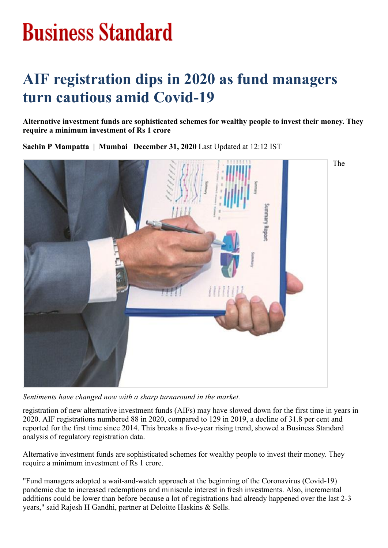## **Business Standard**

## **AIF registration dips in 2020 as fund managers turn cautious amid Covid-19**

**Alternative investment funds are sophisticated schemes for wealthy people to invest their money. They require a minimum investment of Rs 1 crore**

**Sachin P Mampatta | Mumbai December 31, 2020** Last Updated at 12:12 IST



*Sentiments have changed now with a sharp turnaround in the market.*

registration of new alternative investment funds (AIFs) may have slowed down for the first time in years in 2020. AIF registrations numbered 88 in 2020, compared to 129 in 2019, a decline of 31.8 per cent and reported for the first time since 2014. This breaks a five-year rising trend, showed a Business Standard analysis of regulatory registration data.

Alternative investment funds are sophisticated schemes for wealthy people to invest their money. They require a minimum investment of Rs 1 crore.

"Fund managers adopted a wait-and-watch approach at the beginning of the Coronavirus (Covid-19) pandemic due to increased redemptions and miniscule interest in fresh investments. Also, incremental additions could be lower than before because a lot of registrations had already happened over the last 2-3 years," said Rajesh H Gandhi, partner at Deloitte Haskins & Sells.